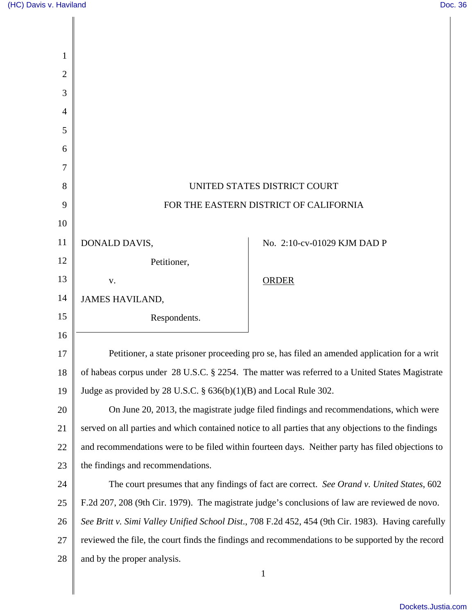$\mathsf{l}$ 

| 1              |                                                                                                     |                             |
|----------------|-----------------------------------------------------------------------------------------------------|-----------------------------|
| $\overline{2}$ |                                                                                                     |                             |
| 3              |                                                                                                     |                             |
| 4              |                                                                                                     |                             |
| 5              |                                                                                                     |                             |
| 6              |                                                                                                     |                             |
| 7              |                                                                                                     |                             |
| 8              | UNITED STATES DISTRICT COURT                                                                        |                             |
| 9              | FOR THE EASTERN DISTRICT OF CALIFORNIA                                                              |                             |
| 10             |                                                                                                     |                             |
| 11             | DONALD DAVIS,                                                                                       | No. 2:10-cv-01029 KJM DAD P |
| 12             | Petitioner,                                                                                         |                             |
| 13             | V.                                                                                                  | <b>ORDER</b>                |
| 14             | <b>JAMES HAVILAND,</b>                                                                              |                             |
| 15             | Respondents.                                                                                        |                             |
| 16             |                                                                                                     |                             |
| 17             | Petitioner, a state prisoner proceeding pro se, has filed an amended application for a writ         |                             |
| 18             | of habeas corpus under 28 U.S.C. § 2254. The matter was referred to a United States Magistrate      |                             |
| 19             | Judge as provided by 28 U.S.C. $\S$ 636(b)(1)(B) and Local Rule 302.                                |                             |
| 20             | On June 20, 2013, the magistrate judge filed findings and recommendations, which were               |                             |
| 21             | served on all parties and which contained notice to all parties that any objections to the findings |                             |
| 22             | and recommendations were to be filed within fourteen days. Neither party has filed objections to    |                             |
| 23             | the findings and recommendations.                                                                   |                             |
| 24             | The court presumes that any findings of fact are correct. See Orand v. United States, 602           |                             |
| 25             | F.2d 207, 208 (9th Cir. 1979). The magistrate judge's conclusions of law are reviewed de novo.      |                             |
| 26             | See Britt v. Simi Valley Unified School Dist., 708 F.2d 452, 454 (9th Cir. 1983). Having carefully  |                             |
| $27\,$         | reviewed the file, the court finds the findings and recommendations to be supported by the record   |                             |
| 28             | and by the proper analysis.                                                                         |                             |
|                |                                                                                                     | $\mathbf{1}$                |